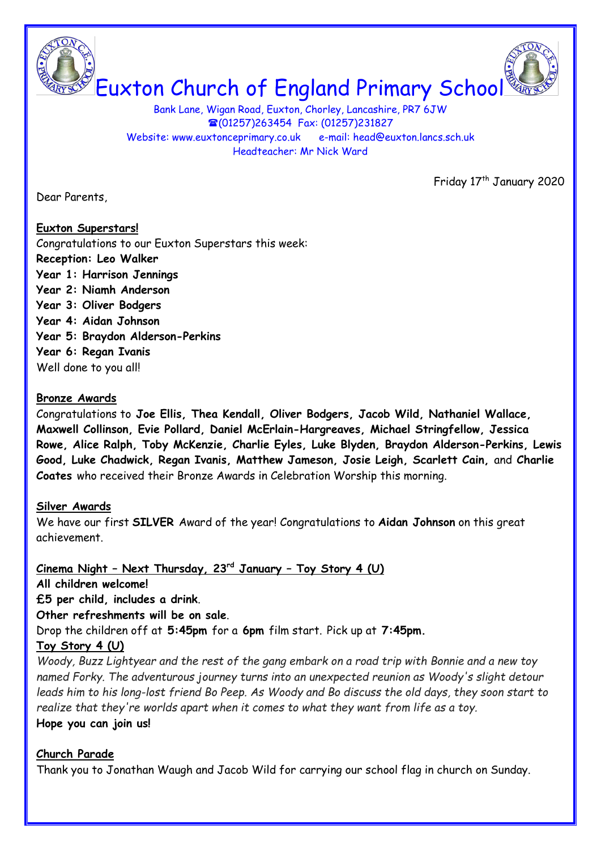

Bank Lane, Wigan Road, Euxton, Chorley, Lancashire, PR7 6JW (01257)263454 Fax: (01257)231827 Website: www.euxtonceprimary.co.uk e-mail: [head@euxton.lancs.sch.uk](mailto:head@euxton.lancs.sch.uk) Headteacher: Mr Nick Ward

Friday 17<sup>th</sup> January 2020

Dear Parents,

#### **Euxton Superstars!**

Congratulations to our Euxton Superstars this week: **Reception: Leo Walker Year 1: Harrison Jennings Year 2: Niamh Anderson Year 3: Oliver Bodgers Year 4: Aidan Johnson Year 5: Braydon Alderson-Perkins Year 6: Regan Ivanis** Well done to you all!

#### **Bronze Awards**

Congratulations to **Joe Ellis, Thea Kendall, Oliver Bodgers, Jacob Wild, Nathaniel Wallace, Maxwell Collinson, Evie Pollard, Daniel McErlain-Hargreaves, Michael Stringfellow, Jessica Rowe, Alice Ralph, Toby McKenzie, Charlie Eyles, Luke Blyden, Braydon Alderson-Perkins, Lewis Good, Luke Chadwick, Regan Ivanis, Matthew Jameson, Josie Leigh, Scarlett Cain,** and **Charlie Coates** who received their Bronze Awards in Celebration Worship this morning.

#### **Silver Awards**

We have our first **SILVER** Award of the year! Congratulations to **Aidan Johnson** on this great achievement.

**Cinema Night – Next Thursday, 23rd January – Toy Story 4 (U)**

**All children welcome!** 

**£5 per child, includes a drink**.

**Other refreshments will be on sale**.

Drop the children off at **5:45pm** for a **6pm** film start. Pick up at **7:45pm.**

# **Toy Story 4 (U)**

*Woody, Buzz Lightyear and the rest of the gang embark on a road trip with Bonnie and a new toy named Forky. The adventurous journey turns into an unexpected reunion as Woody's slight detour leads him to his long-lost friend Bo Peep. As Woody and Bo discuss the old days, they soon start to realize that they're worlds apart when it comes to what they want from life as a toy.*

# **Hope you can join us!**

# **Church Parade**

Thank you to Jonathan Waugh and Jacob Wild for carrying our school flag in church on Sunday.